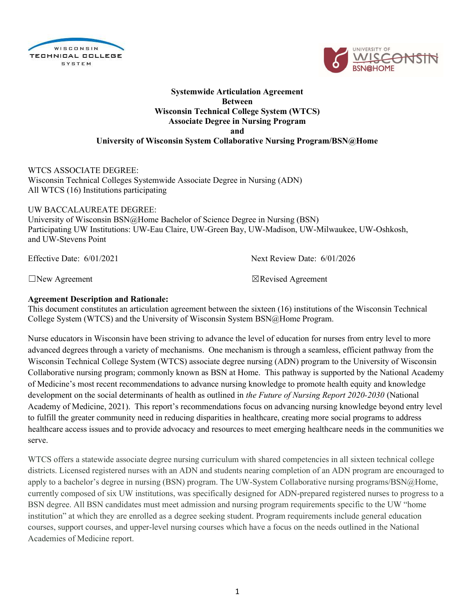



## Systemwide Articulation Agreement Between Wisconsin Technical College System (WTCS) Associate Degree in Nursing Program and University of Wisconsin System Collaborative Nursing Program/BSN@Home

### WTCS ASSOCIATE DEGREE: Wisconsin Technical Colleges Systemwide Associate Degree in Nursing (ADN) All WTCS (16) Institutions participating

UW BACCALAUREATE DEGREE: University of Wisconsin BSN@Home Bachelor of Science Degree in Nursing (BSN) Participating UW Institutions: UW-Eau Claire, UW-Green Bay, UW-Madison, UW-Milwaukee, UW-Oshkosh, and UW-Stevens Point

Effective Date: 6/01/2021 Next Review Date: 6/01/2026

 $\Box$ New Agreement  $\Box$ Revised Agreement

# Agreement Description and Rationale:

This document constitutes an articulation agreement between the sixteen (16) institutions of the Wisconsin Technical College System (WTCS) and the University of Wisconsin System BSN@Home Program.

Nurse educators in Wisconsin have been striving to advance the level of education for nurses from entry level to more advanced degrees through a variety of mechanisms. One mechanism is through a seamless, efficient pathway from the Wisconsin Technical College System (WTCS) associate degree nursing (ADN) program to the University of Wisconsin Collaborative nursing program; commonly known as BSN at Home. This pathway is supported by the National Academy of Medicine's most recent recommendations to advance nursing knowledge to promote health equity and knowledge development on the social determinants of health as outlined in the Future of Nursing Report 2020-2030 (National Academy of Medicine, 2021). This report's recommendations focus on advancing nursing knowledge beyond entry level to fulfill the greater community need in reducing disparities in healthcare, creating more social programs to address healthcare access issues and to provide advocacy and resources to meet emerging healthcare needs in the communities we serve.

WTCS offers a statewide associate degree nursing curriculum with shared competencies in all sixteen technical college districts. Licensed registered nurses with an ADN and students nearing completion of an ADN program are encouraged to apply to a bachelor's degree in nursing (BSN) program. The UW-System Collaborative nursing programs/BSN@Home, currently composed of six UW institutions, was specifically designed for ADN-prepared registered nurses to progress to a BSN degree. All BSN candidates must meet admission and nursing program requirements specific to the UW "home institution" at which they are enrolled as a degree seeking student. Program requirements include general education courses, support courses, and upper-level nursing courses which have a focus on the needs outlined in the National Academies of Medicine report.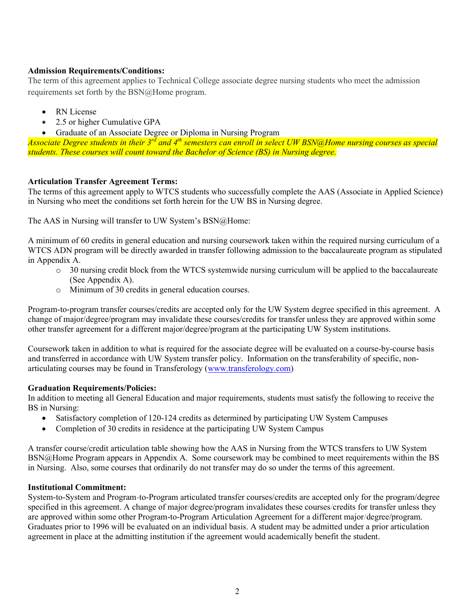## Admission Requirements/Conditions:

The term of this agreement applies to Technical College associate degree nursing students who meet the admission requirements set forth by the BSN@Home program.

- RN License
- 2.5 or higher Cumulative GPA
- Graduate of an Associate Degree or Diploma in Nursing Program

Associate Degree students in their 3<sup>rd</sup> and 4<sup>th</sup> semesters can enroll in select UW BSN@Home nursing courses as special students. These courses will count toward the Bachelor of Science (BS) in Nursing degree.

# Articulation Transfer Agreement Terms:

The terms of this agreement apply to WTCS students who successfully complete the AAS (Associate in Applied Science) in Nursing who meet the conditions set forth herein for the UW BS in Nursing degree.

The AAS in Nursing will transfer to UW System's BSN@Home:

A minimum of 60 credits in general education and nursing coursework taken within the required nursing curriculum of a WTCS ADN program will be directly awarded in transfer following admission to the baccalaureate program as stipulated in Appendix A.

- o 30 nursing credit block from the WTCS systemwide nursing curriculum will be applied to the baccalaureate (See Appendix A).
- o Minimum of 30 credits in general education courses.

Program-to-program transfer courses/credits are accepted only for the UW System degree specified in this agreement. A change of major/degree/program may invalidate these courses/credits for transfer unless they are approved within some other transfer agreement for a different major/degree/program at the participating UW System institutions.

Coursework taken in addition to what is required for the associate degree will be evaluated on a course-by-course basis and transferred in accordance with UW System transfer policy. Information on the transferability of specific, nonarticulating courses may be found in Transferology (www.transferology.com)

#### Graduation Requirements/Policies:

In addition to meeting all General Education and major requirements, students must satisfy the following to receive the BS in Nursing:

- Satisfactory completion of 120-124 credits as determined by participating UW System Campuses
- Completion of 30 credits in residence at the participating UW System Campus

A transfer course/credit articulation table showing how the AAS in Nursing from the WTCS transfers to UW System BSN@Home Program appears in Appendix A. Some coursework may be combined to meet requirements within the BS in Nursing. Also, some courses that ordinarily do not transfer may do so under the terms of this agreement.

#### Institutional Commitment:

System-to-System and Program-to-Program articulated transfer courses/credits are accepted only for the program/degree specified in this agreement. A change of major/degree/program invalidates these courses/credits for transfer unless they are approved within some other Program-to-Program Articulation Agreement for a different major/degree/program. Graduates prior to 1996 will be evaluated on an individual basis. A student may be admitted under a prior articulation agreement in place at the admitting institution if the agreement would academically benefit the student.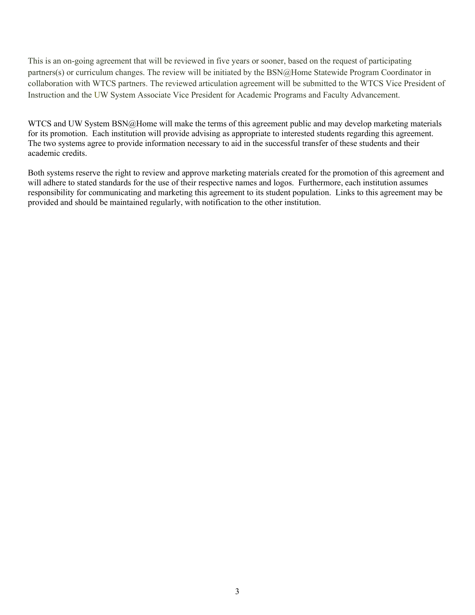This is an on-going agreement that will be reviewed in five years or sooner, based on the request of participating partners(s) or curriculum changes. The review will be initiated by the BSN@Home Statewide Program Coordinator in collaboration with WTCS partners. The reviewed articulation agreement will be submitted to the WTCS Vice President of Instruction and the UW System Associate Vice President for Academic Programs and Faculty Advancement.

WTCS and UW System BSN@Home will make the terms of this agreement public and may develop marketing materials for its promotion. Each institution will provide advising as appropriate to interested students regarding this agreement. The two systems agree to provide information necessary to aid in the successful transfer of these students and their academic credits.

Both systems reserve the right to review and approve marketing materials created for the promotion of this agreement and will adhere to stated standards for the use of their respective names and logos. Furthermore, each institution assumes responsibility for communicating and marketing this agreement to its student population. Links to this agreement may be provided and should be maintained regularly, with notification to the other institution.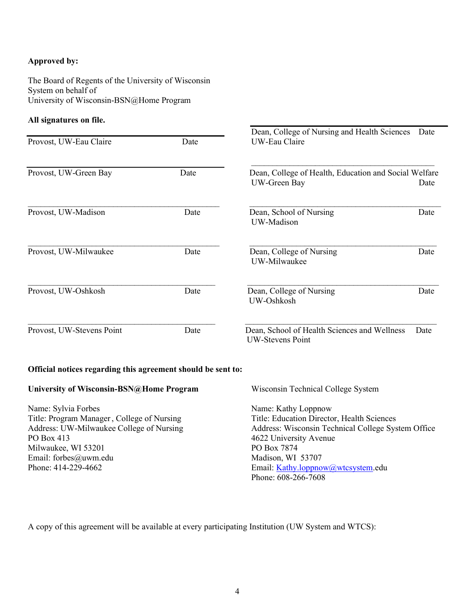### Approved by:

The Board of Regents of the University of Wisconsin System on behalf of University of Wisconsin-BSN@Home Program

#### All signatures on file.

|                                                                                                                                                      |      | Dean, College of Nursing and Health Sciences<br>Date                                                                                                     |      |  |  |
|------------------------------------------------------------------------------------------------------------------------------------------------------|------|----------------------------------------------------------------------------------------------------------------------------------------------------------|------|--|--|
| Provost, UW-Eau Claire                                                                                                                               | Date | UW-Eau Claire                                                                                                                                            |      |  |  |
| Provost, UW-Green Bay                                                                                                                                | Date | Dean, College of Health, Education and Social Welfare<br>UW-Green Bay                                                                                    | Date |  |  |
| Provost, UW-Madison                                                                                                                                  | Date | Dean, School of Nursing<br>UW-Madison                                                                                                                    | Date |  |  |
| Provost, UW-Milwaukee                                                                                                                                | Date | Dean, College of Nursing<br>UW-Milwaukee                                                                                                                 | Date |  |  |
| Provost, UW-Oshkosh                                                                                                                                  | Date | Dean, College of Nursing<br>UW-Oshkosh                                                                                                                   | Date |  |  |
| Provost, UW-Stevens Point                                                                                                                            | Date | Dean, School of Health Sciences and Wellness<br><b>UW-Stevens Point</b>                                                                                  | Date |  |  |
| Official notices regarding this agreement should be sent to:                                                                                         |      |                                                                                                                                                          |      |  |  |
| University of Wisconsin-BSN@Home Program                                                                                                             |      | Wisconsin Technical College System                                                                                                                       |      |  |  |
| Name: Sylvia Forbes<br>Title: Program Manager, College of Nursing<br>$\Lambda$ J. Jussey, UBV $\Lambda$ Ulymperature $C_2$ lleger of $\Lambda$ began |      | Name: Kathy Loppnow<br>Title: Education Director, Health Sciences<br>$\Lambda$ denote $W_{\text{redu}}$ Technical Callege Septem $\Delta \mathfrak{C}$ . |      |  |  |

Address: UW-Milwaukee College of Nursing PO Box 413 Milwaukee, WI 53201 Email: forbes@uwm.edu Phone: 414-229-4662

Address: Wisconsin Technical College System Office 4622 University Avenue PO Box 7874 Madison, WI 53707 Email: Kathy.loppnow@wtcsystem.edu Phone: 608-266-7608

A copy of this agreement will be available at every participating Institution (UW System and WTCS):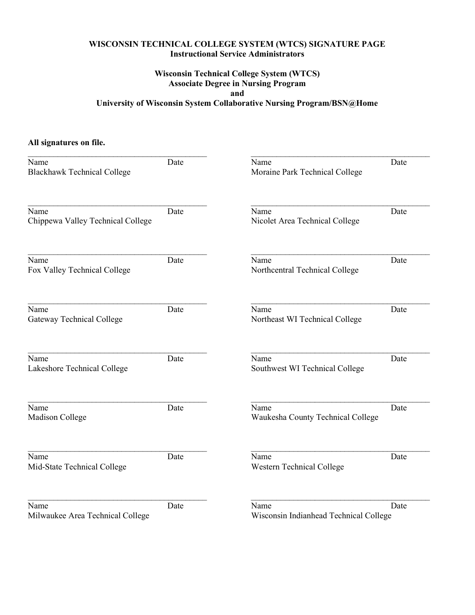# WISCONSIN TECHNICAL COLLEGE SYSTEM (WTCS) SIGNATURE PAGE Instructional Service Administrators

# Wisconsin Technical College System (WTCS) Associate Degree in Nursing Program and University of Wisconsin System Collaborative Nursing Program/BSN@Home

# All signatures on file.

| Name<br><b>Blackhawk Technical College</b> | Date | Name<br>Moraine Park Technical College | Date |
|--------------------------------------------|------|----------------------------------------|------|
|                                            |      |                                        |      |
| Name<br>Chippewa Valley Technical College  | Date | Name<br>Nicolet Area Technical College | Date |
|                                            |      |                                        |      |
| Name<br>Fox Valley Technical College       | Date | Name<br>Northcentral Technical College | Date |
|                                            |      |                                        |      |
| Name                                       | Date | Name                                   | Date |
| <b>Gateway Technical College</b>           |      | Northeast WI Technical College         |      |
| Name                                       | Date | Name                                   | Date |
| Lakeshore Technical College                |      | Southwest WI Technical College         |      |
| Name                                       | Date | Name                                   | Date |
| Madison College                            |      | Waukesha County Technical College      |      |
| Name                                       | Date | Name                                   | Date |
| Mid-State Technical College                |      | Western Technical College              |      |
| Name                                       | Date | Name                                   | Date |
| Milwaukee Area Technical College           |      | Wisconsin Indianhead Technical College |      |